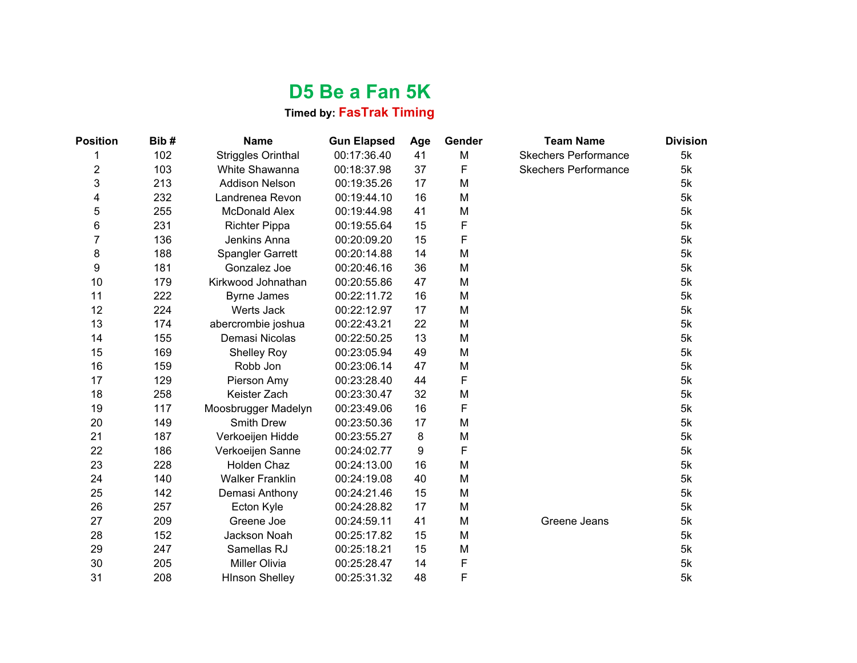## **D5 Be a Fan 5K**

## **Timed by: FasTrak Timing**

| <b>Position</b> | Bib# | <b>Name</b>               | <b>Gun Elapsed</b> | Age | Gender | <b>Team Name</b>            | <b>Division</b> |
|-----------------|------|---------------------------|--------------------|-----|--------|-----------------------------|-----------------|
| 1               | 102  | <b>Striggles Orinthal</b> | 00:17:36.40        | 41  | M      | <b>Skechers Performance</b> | 5k              |
| $\overline{2}$  | 103  | White Shawanna            | 00:18:37.98        | 37  | F      | <b>Skechers Performance</b> | 5k              |
| 3               | 213  | <b>Addison Nelson</b>     | 00:19:35.26        | 17  | M      |                             | 5k              |
| 4               | 232  | Landrenea Revon           | 00:19:44.10        | 16  | M      |                             | 5k              |
| 5               | 255  | <b>McDonald Alex</b>      | 00:19:44.98        | 41  | M      |                             | 5k              |
| 6               | 231  | <b>Richter Pippa</b>      | 00:19:55.64        | 15  | F      |                             | 5k              |
| 7               | 136  | Jenkins Anna              | 00:20:09.20        | 15  | F      |                             | 5k              |
| 8               | 188  | <b>Spangler Garrett</b>   | 00:20:14.88        | 14  | M      |                             | 5k              |
| 9               | 181  | Gonzalez Joe              | 00:20:46.16        | 36  | M      |                             | 5k              |
| 10              | 179  | Kirkwood Johnathan        | 00:20:55.86        | 47  | M      |                             | 5k              |
| 11              | 222  | <b>Byrne James</b>        | 00:22:11.72        | 16  | M      |                             | 5k              |
| 12              | 224  | Werts Jack                | 00:22:12.97        | 17  | M      |                             | 5k              |
| 13              | 174  | abercrombie joshua        | 00:22:43.21        | 22  | M      |                             | 5k              |
| 14              | 155  | Demasi Nicolas            | 00:22:50.25        | 13  | M      |                             | 5k              |
| 15              | 169  | <b>Shelley Roy</b>        | 00:23:05.94        | 49  | M      |                             | 5k              |
| 16              | 159  | Robb Jon                  | 00:23:06.14        | 47  | M      |                             | 5k              |
| 17              | 129  | Pierson Amy               | 00:23:28.40        | 44  | F      |                             | 5k              |
| 18              | 258  | Keister Zach              | 00:23:30.47        | 32  | M      |                             | 5k              |
| 19              | 117  | Moosbrugger Madelyn       | 00:23:49.06        | 16  | F      |                             | 5k              |
| 20              | 149  | <b>Smith Drew</b>         | 00:23:50.36        | 17  | M      |                             | 5k              |
| 21              | 187  | Verkoeijen Hidde          | 00:23:55.27        | 8   | M      |                             | 5k              |
| 22              | 186  | Verkoeijen Sanne          | 00:24:02.77        | 9   | F      |                             | 5k              |
| 23              | 228  | Holden Chaz               | 00:24:13.00        | 16  | M      |                             | 5k              |
| 24              | 140  | <b>Walker Franklin</b>    | 00:24:19.08        | 40  | M      |                             | 5k              |
| 25              | 142  | Demasi Anthony            | 00:24:21.46        | 15  | M      |                             | 5k              |
| 26              | 257  | Ecton Kyle                | 00:24:28.82        | 17  | M      |                             | 5k              |
| 27              | 209  | Greene Joe                | 00:24:59.11        | 41  | M      | Greene Jeans                | 5k              |
| 28              | 152  | Jackson Noah              | 00:25:17.82        | 15  | M      |                             | 5k              |
| 29              | 247  | Samellas RJ               | 00:25:18.21        | 15  | M      |                             | 5k              |
| 30              | 205  | Miller Olivia             | 00:25:28.47        | 14  | F      |                             | 5k              |
| 31              | 208  | <b>HInson Shelley</b>     | 00:25:31.32        | 48  | F      |                             | 5k              |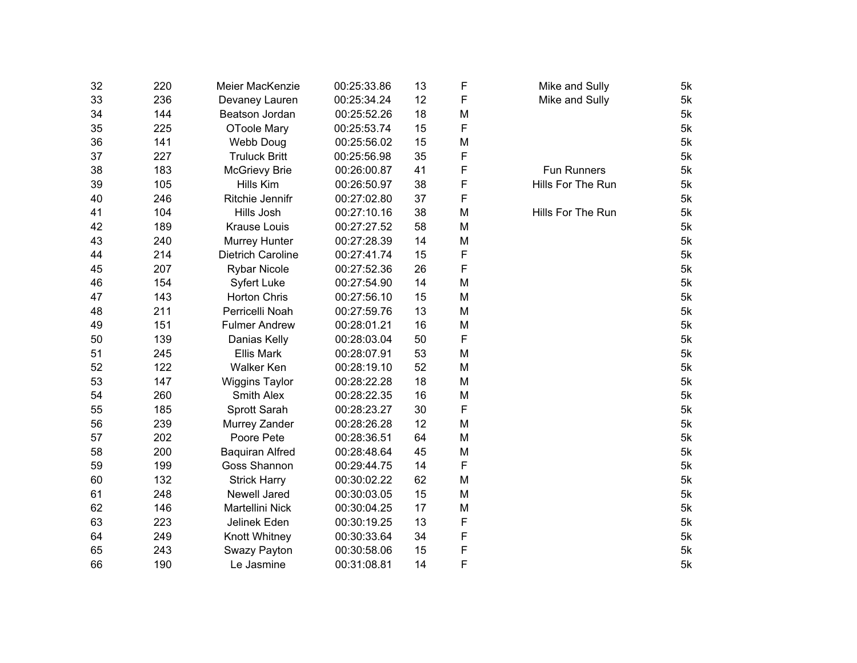| 32 | 220 | Meier MacKenzie        | 00:25:33.86 | 13 | F | Mike and Sully     | 5k |
|----|-----|------------------------|-------------|----|---|--------------------|----|
| 33 | 236 | Devaney Lauren         | 00:25:34.24 | 12 | F | Mike and Sully     | 5k |
| 34 | 144 | Beatson Jordan         | 00:25:52.26 | 18 | M |                    | 5k |
| 35 | 225 | OToole Mary            | 00:25:53.74 | 15 | F |                    | 5k |
| 36 | 141 | Webb Doug              | 00:25:56.02 | 15 | M |                    | 5k |
| 37 | 227 | <b>Truluck Britt</b>   | 00:25:56.98 | 35 | F |                    | 5k |
| 38 | 183 | <b>McGrievy Brie</b>   | 00:26:00.87 | 41 | F | <b>Fun Runners</b> | 5k |
| 39 | 105 | Hills Kim              | 00:26:50.97 | 38 | F | Hills For The Run  | 5k |
| 40 | 246 | Ritchie Jennifr        | 00:27:02.80 | 37 | F |                    | 5k |
| 41 | 104 | Hills Josh             | 00:27:10.16 | 38 | M | Hills For The Run  | 5k |
| 42 | 189 | <b>Krause Louis</b>    | 00:27:27.52 | 58 | M |                    | 5k |
| 43 | 240 | Murrey Hunter          | 00:27:28.39 | 14 | M |                    | 5k |
| 44 | 214 | Dietrich Caroline      | 00:27:41.74 | 15 | F |                    | 5k |
| 45 | 207 | <b>Rybar Nicole</b>    | 00:27:52.36 | 26 | F |                    | 5k |
| 46 | 154 | <b>Syfert Luke</b>     | 00:27:54.90 | 14 | M |                    | 5k |
| 47 | 143 | <b>Horton Chris</b>    | 00:27:56.10 | 15 | M |                    | 5k |
| 48 | 211 | Perricelli Noah        | 00:27:59.76 | 13 | M |                    | 5k |
| 49 | 151 | <b>Fulmer Andrew</b>   | 00:28:01.21 | 16 | M |                    | 5k |
| 50 | 139 | Danias Kelly           | 00:28:03.04 | 50 | F |                    | 5k |
| 51 | 245 | <b>Ellis Mark</b>      | 00:28:07.91 | 53 | M |                    | 5k |
| 52 | 122 | <b>Walker Ken</b>      | 00:28:19.10 | 52 | M |                    | 5k |
| 53 | 147 | <b>Wiggins Taylor</b>  | 00:28:22.28 | 18 | M |                    | 5k |
| 54 | 260 | Smith Alex             | 00:28:22.35 | 16 | M |                    | 5k |
| 55 | 185 | Sprott Sarah           | 00:28:23.27 | 30 | F |                    | 5k |
| 56 | 239 | Murrey Zander          | 00:28:26.28 | 12 | M |                    | 5k |
| 57 | 202 | Poore Pete             | 00:28:36.51 | 64 | M |                    | 5k |
| 58 | 200 | <b>Baquiran Alfred</b> | 00:28:48.64 | 45 | M |                    | 5k |
| 59 | 199 | Goss Shannon           | 00:29:44.75 | 14 | F |                    | 5k |
| 60 | 132 | <b>Strick Harry</b>    | 00:30:02.22 | 62 | M |                    | 5k |
| 61 | 248 | Newell Jared           | 00:30:03.05 | 15 | M |                    | 5k |
| 62 | 146 | Martellini Nick        | 00:30:04.25 | 17 | M |                    | 5k |
| 63 | 223 | Jelinek Eden           | 00:30:19.25 | 13 | F |                    | 5k |
| 64 | 249 | Knott Whitney          | 00:30:33.64 | 34 | F |                    | 5k |
| 65 | 243 | Swazy Payton           | 00:30:58.06 | 15 | F |                    | 5k |
| 66 | 190 | Le Jasmine             | 00:31:08.81 | 14 | F |                    | 5k |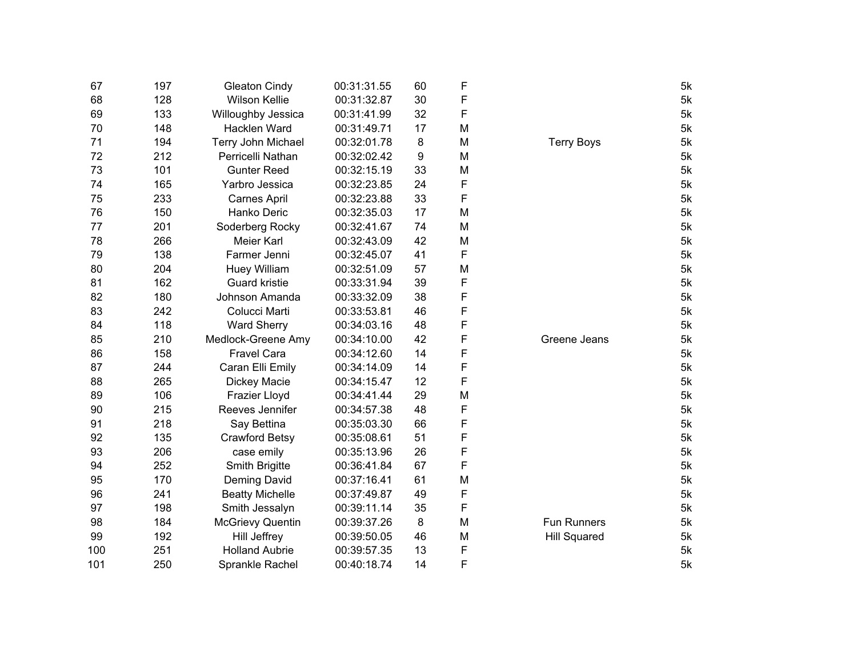| 67  | 197 | <b>Gleaton Cindy</b>    | 00:31:31.55 | 60 | F |                     | 5k |
|-----|-----|-------------------------|-------------|----|---|---------------------|----|
| 68  | 128 | <b>Wilson Kellie</b>    | 00:31:32.87 | 30 | F |                     | 5k |
| 69  | 133 | Willoughby Jessica      | 00:31:41.99 | 32 | F |                     | 5k |
| 70  | 148 | Hacklen Ward            | 00:31:49.71 | 17 | M |                     | 5k |
| 71  | 194 | Terry John Michael      | 00:32:01.78 | 8  | M | <b>Terry Boys</b>   | 5k |
| 72  | 212 | Perricelli Nathan       | 00:32:02.42 | 9  | M |                     | 5k |
| 73  | 101 | <b>Gunter Reed</b>      | 00:32:15.19 | 33 | M |                     | 5k |
| 74  | 165 | Yarbro Jessica          | 00:32:23.85 | 24 | F |                     | 5k |
| 75  | 233 | <b>Carnes April</b>     | 00:32:23.88 | 33 | F |                     | 5k |
| 76  | 150 | Hanko Deric             | 00:32:35.03 | 17 | M |                     | 5k |
| 77  | 201 | Soderberg Rocky         | 00:32:41.67 | 74 | M |                     | 5k |
| 78  | 266 | Meier Karl              | 00:32:43.09 | 42 | M |                     | 5k |
| 79  | 138 | Farmer Jenni            | 00:32:45.07 | 41 | F |                     | 5k |
| 80  | 204 | <b>Huey William</b>     | 00:32:51.09 | 57 | M |                     | 5k |
| 81  | 162 | <b>Guard kristie</b>    | 00:33:31.94 | 39 | F |                     | 5k |
| 82  | 180 | Johnson Amanda          | 00:33:32.09 | 38 | F |                     | 5k |
| 83  | 242 | Colucci Marti           | 00:33:53.81 | 46 | F |                     | 5k |
| 84  | 118 | <b>Ward Sherry</b>      | 00:34:03.16 | 48 | F |                     | 5k |
| 85  | 210 | Medlock-Greene Amy      | 00:34:10.00 | 42 | F | Greene Jeans        | 5k |
| 86  | 158 | <b>Fravel Cara</b>      | 00:34:12.60 | 14 | F |                     | 5k |
| 87  | 244 | Caran Elli Emily        | 00:34:14.09 | 14 | F |                     | 5k |
| 88  | 265 | Dickey Macie            | 00:34:15.47 | 12 | F |                     | 5k |
| 89  | 106 | Frazier Lloyd           | 00:34:41.44 | 29 | M |                     | 5k |
| 90  | 215 | Reeves Jennifer         | 00:34:57.38 | 48 | F |                     | 5k |
| 91  | 218 | Say Bettina             | 00:35:03.30 | 66 | F |                     | 5k |
| 92  | 135 | Crawford Betsy          | 00:35:08.61 | 51 | F |                     | 5k |
| 93  | 206 | case emily              | 00:35:13.96 | 26 | F |                     | 5k |
| 94  | 252 | Smith Brigitte          | 00:36:41.84 | 67 | F |                     | 5k |
| 95  | 170 | <b>Deming David</b>     | 00:37:16.41 | 61 | M |                     | 5k |
| 96  | 241 | <b>Beatty Michelle</b>  | 00:37:49.87 | 49 | F |                     | 5k |
| 97  | 198 | Smith Jessalyn          | 00:39:11.14 | 35 | F |                     | 5k |
| 98  | 184 | <b>McGrievy Quentin</b> | 00:39:37.26 | 8  | M | <b>Fun Runners</b>  | 5k |
| 99  | 192 | <b>Hill Jeffrey</b>     | 00:39:50.05 | 46 | M | <b>Hill Squared</b> | 5k |
| 100 | 251 | <b>Holland Aubrie</b>   | 00:39:57.35 | 13 | F |                     | 5k |
| 101 | 250 | Sprankle Rachel         | 00:40:18.74 | 14 | F |                     | 5k |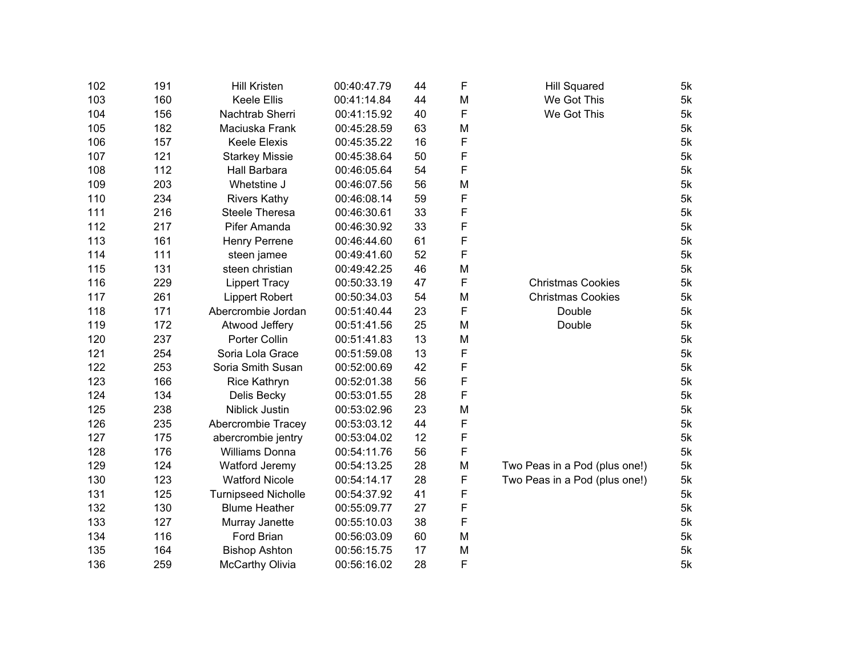| 102 | 191 | <b>Hill Kristen</b>        | 00:40:47.79 | 44 | F | <b>Hill Squared</b>           | 5k |
|-----|-----|----------------------------|-------------|----|---|-------------------------------|----|
| 103 | 160 | <b>Keele Ellis</b>         | 00:41:14.84 | 44 | M | We Got This                   | 5k |
| 104 | 156 | Nachtrab Sherri            | 00:41:15.92 | 40 | F | We Got This                   | 5k |
| 105 | 182 | Maciuska Frank             | 00:45:28.59 | 63 | М |                               | 5k |
| 106 | 157 | <b>Keele Elexis</b>        | 00:45:35.22 | 16 | F |                               | 5k |
| 107 | 121 | <b>Starkey Missie</b>      | 00:45:38.64 | 50 | F |                               | 5k |
| 108 | 112 | Hall Barbara               | 00:46:05.64 | 54 | F |                               | 5k |
| 109 | 203 | Whetstine J                | 00:46:07.56 | 56 | M |                               | 5k |
| 110 | 234 | <b>Rivers Kathy</b>        | 00:46:08.14 | 59 | F |                               | 5k |
| 111 | 216 | <b>Steele Theresa</b>      | 00:46:30.61 | 33 | F |                               | 5k |
| 112 | 217 | Pifer Amanda               | 00:46:30.92 | 33 | F |                               | 5k |
| 113 | 161 | Henry Perrene              | 00:46:44.60 | 61 | F |                               | 5k |
| 114 | 111 | steen jamee                | 00:49:41.60 | 52 | F |                               | 5k |
| 115 | 131 | steen christian            | 00:49:42.25 | 46 | M |                               | 5k |
| 116 | 229 | <b>Lippert Tracy</b>       | 00:50:33.19 | 47 | F | <b>Christmas Cookies</b>      | 5k |
| 117 | 261 | <b>Lippert Robert</b>      | 00:50:34.03 | 54 | M | <b>Christmas Cookies</b>      | 5k |
| 118 | 171 | Abercrombie Jordan         | 00:51:40.44 | 23 | F | Double                        | 5k |
| 119 | 172 | Atwood Jeffery             | 00:51:41.56 | 25 | M | Double                        | 5k |
| 120 | 237 | Porter Collin              | 00:51:41.83 | 13 | M |                               | 5k |
| 121 | 254 | Soria Lola Grace           | 00:51:59.08 | 13 | F |                               | 5k |
| 122 | 253 | Soria Smith Susan          | 00:52:00.69 | 42 | F |                               | 5k |
| 123 | 166 | Rice Kathryn               | 00:52:01.38 | 56 | F |                               | 5k |
| 124 | 134 | Delis Becky                | 00:53:01.55 | 28 | F |                               | 5k |
| 125 | 238 | Niblick Justin             | 00:53:02.96 | 23 | M |                               | 5k |
| 126 | 235 | Abercrombie Tracey         | 00:53:03.12 | 44 | F |                               | 5k |
| 127 | 175 | abercrombie jentry         | 00:53:04.02 | 12 | F |                               | 5k |
| 128 | 176 | <b>Williams Donna</b>      | 00:54:11.76 | 56 | F |                               | 5k |
| 129 | 124 | Watford Jeremy             | 00:54:13.25 | 28 | M | Two Peas in a Pod (plus one!) | 5k |
| 130 | 123 | <b>Watford Nicole</b>      | 00:54:14.17 | 28 | F | Two Peas in a Pod (plus one!) | 5k |
| 131 | 125 | <b>Turnipseed Nicholle</b> | 00:54:37.92 | 41 | F |                               | 5k |
| 132 | 130 | <b>Blume Heather</b>       | 00:55:09.77 | 27 | F |                               | 5k |
| 133 | 127 | Murray Janette             | 00:55:10.03 | 38 | F |                               | 5k |
| 134 | 116 | Ford Brian                 | 00:56:03.09 | 60 | M |                               | 5k |
| 135 | 164 | <b>Bishop Ashton</b>       | 00:56:15.75 | 17 | M |                               | 5k |
| 136 | 259 | McCarthy Olivia            | 00:56:16.02 | 28 | F |                               | 5k |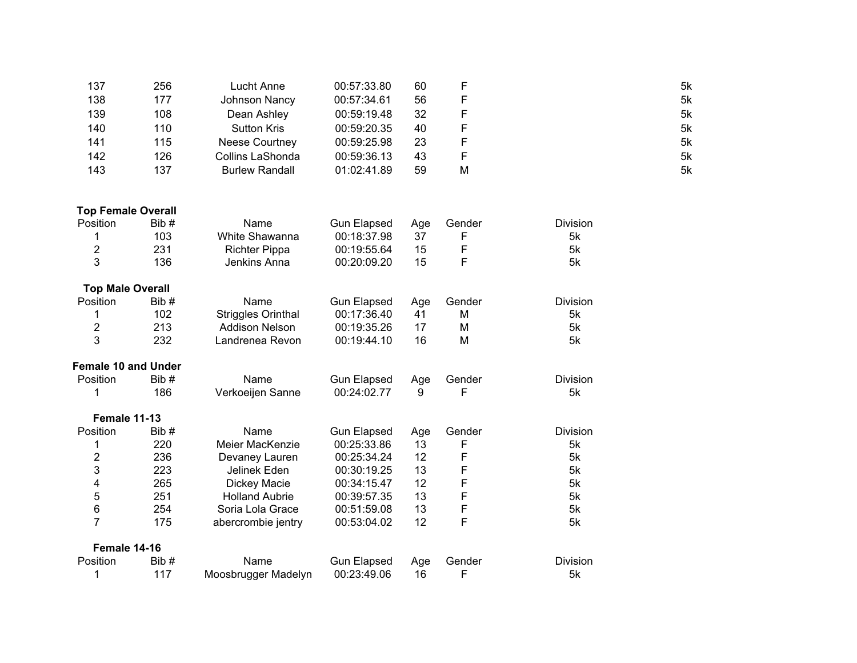| 137                        | 256  | <b>Lucht Anne</b>         | 00:57:33.80        | 60  | F      |                 | 5k |
|----------------------------|------|---------------------------|--------------------|-----|--------|-----------------|----|
| 138                        | 177  | Johnson Nancy             | 00:57:34.61        | 56  | F      |                 | 5k |
| 139                        | 108  | Dean Ashley               | 00:59:19.48        | 32  | F      |                 | 5k |
| 140                        | 110  | <b>Sutton Kris</b>        | 00:59:20.35        | 40  | F      |                 | 5k |
| 141                        | 115  | Neese Courtney            | 00:59:25.98        | 23  | F      |                 | 5k |
| 142                        | 126  | Collins LaShonda          | 00:59:36.13        | 43  | F      |                 | 5k |
| 143                        | 137  | <b>Burlew Randall</b>     | 01:02:41.89        | 59  | M      |                 | 5k |
| <b>Top Female Overall</b>  |      |                           |                    |     |        |                 |    |
| Position                   | Bib# | Name                      | <b>Gun Elapsed</b> | Age | Gender | <b>Division</b> |    |
| 1                          | 103  | White Shawanna            | 00:18:37.98        | 37  | F      | 5k              |    |
| $\boldsymbol{2}$           | 231  | <b>Richter Pippa</b>      | 00:19:55.64        | 15  | F      | 5k              |    |
| 3                          | 136  | Jenkins Anna              | 00:20:09.20        | 15  | F      | 5k              |    |
| <b>Top Male Overall</b>    |      |                           |                    |     |        |                 |    |
| Position                   | Bib# | Name                      | <b>Gun Elapsed</b> | Age | Gender | Division        |    |
| 1                          | 102  | <b>Striggles Orinthal</b> | 00:17:36.40        | 41  | M      | 5k              |    |
| $\overline{\mathbf{c}}$    | 213  | <b>Addison Nelson</b>     | 00:19:35.26        | 17  | M      | 5k              |    |
| 3                          | 232  | Landrenea Revon           | 00:19:44.10        | 16  | M      | 5k              |    |
| <b>Female 10 and Under</b> |      |                           |                    |     |        |                 |    |
| Position                   | Bib# | Name                      | <b>Gun Elapsed</b> | Age | Gender | <b>Division</b> |    |
| 1                          | 186  | Verkoeijen Sanne          | 00:24:02.77        | 9   | F      | 5k              |    |
| Female 11-13               |      |                           |                    |     |        |                 |    |
| Position                   | Bib# | Name                      | <b>Gun Elapsed</b> | Age | Gender | Division        |    |
| 1                          | 220  | Meier MacKenzie           | 00:25:33.86        | 13  | F      | 5k              |    |
| $\overline{2}$             | 236  | Devaney Lauren            | 00:25:34.24        | 12  | F      | 5k              |    |
| 3                          | 223  | Jelinek Eden              | 00:30:19.25        | 13  | F      | 5k              |    |
| 4                          | 265  | Dickey Macie              | 00:34:15.47        | 12  | F      | 5k              |    |
| 5                          | 251  | <b>Holland Aubrie</b>     | 00:39:57.35        | 13  | F      | 5k              |    |
| 6                          | 254  | Soria Lola Grace          | 00:51:59.08        | 13  | F      | 5k              |    |
| $\overline{7}$             | 175  | abercrombie jentry        | 00:53:04.02        | 12  | F      | 5k              |    |
| Female 14-16               |      |                           |                    |     |        |                 |    |
| Position                   | Bib# | Name                      | <b>Gun Elapsed</b> | Age | Gender | Division        |    |
| 1                          | 117  | Moosbrugger Madelyn       | 00:23:49.06        | 16  | F      | 5k              |    |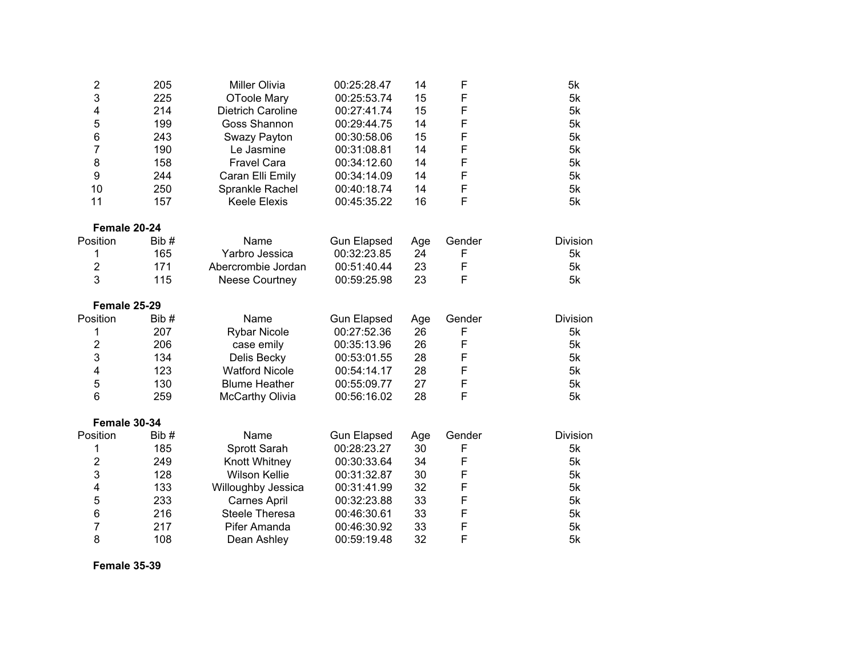| 2              | 205  | <b>Miller Olivia</b>     | 00:25:28.47        | 14  | F      | 5k              |
|----------------|------|--------------------------|--------------------|-----|--------|-----------------|
| 3              | 225  | <b>OToole Mary</b>       | 00:25:53.74        | 15  | F      | 5k              |
| 4              | 214  | <b>Dietrich Caroline</b> | 00:27:41.74        | 15  | F      | 5k              |
| 5              | 199  | Goss Shannon             | 00:29:44.75        | 14  | F      | 5k              |
| 6              | 243  | Swazy Payton             | 00:30:58.06        | 15  | F      | 5k              |
| 7              | 190  | Le Jasmine               | 00:31:08.81        | 14  | F      | 5k              |
| 8              | 158  | <b>Fravel Cara</b>       | 00:34:12.60        | 14  | F      | 5k              |
| 9              | 244  | Caran Elli Emily         | 00:34:14.09        | 14  | F      | 5k              |
| 10             | 250  | Sprankle Rachel          | 00:40:18.74        | 14  | F      | 5k              |
| 11             | 157  | <b>Keele Elexis</b>      | 00:45:35.22        | 16  | F      | 5k              |
| Female 20-24   |      |                          |                    |     |        |                 |
| Position       | Bib# | Name                     | <b>Gun Elapsed</b> | Age | Gender | <b>Division</b> |
| 1              | 165  | Yarbro Jessica           | 00:32:23.85        | 24  | F      | 5k              |
| $\overline{2}$ | 171  | Abercrombie Jordan       | 00:51:40.44        | 23  | F      | 5k              |
| 3              | 115  | <b>Neese Courtney</b>    | 00:59:25.98        | 23  | F      | 5k              |
| Female 25-29   |      |                          |                    |     |        |                 |
| Position       | Bib# | Name                     | <b>Gun Elapsed</b> | Age | Gender | <b>Division</b> |
| 1              | 207  | <b>Rybar Nicole</b>      | 00:27:52.36        | 26  | F      | 5k              |
| 2              | 206  | case emily               | 00:35:13.96        | 26  | F      | 5k              |
| 3              | 134  | Delis Becky              | 00:53:01.55        | 28  | F      | 5k              |
| 4              | 123  | <b>Watford Nicole</b>    | 00:54:14.17        | 28  | F      | 5k              |
| 5              | 130  | <b>Blume Heather</b>     | 00:55:09.77        | 27  | F      | 5k              |
| 6              | 259  | McCarthy Olivia          | 00:56:16.02        | 28  | F      | 5k              |
| Female 30-34   |      |                          |                    |     |        |                 |
| Position       | Bib# | Name                     | <b>Gun Elapsed</b> | Age | Gender | <b>Division</b> |
| 1              | 185  | Sprott Sarah             | 00:28:23.27        | 30  | F      | 5k              |
| $\overline{2}$ | 249  | Knott Whitney            | 00:30:33.64        | 34  | F      | 5k              |
| 3              | 128  | <b>Wilson Kellie</b>     | 00:31:32.87        | 30  | F      | 5k              |
| 4              | 133  | Willoughby Jessica       | 00:31:41.99        | 32  | F      | 5k              |
| 5              | 233  | <b>Carnes April</b>      | 00:32:23.88        | 33  | F      | 5k              |
| 6              | 216  | Steele Theresa           | 00:46:30.61        | 33  | F      | 5k              |
| 7              | 217  | Pifer Amanda             | 00:46:30.92        | 33  | F      | 5k              |
| 8              | 108  | Dean Ashley              | 00:59:19.48        | 32  | F      | 5k              |

**Female 35-39**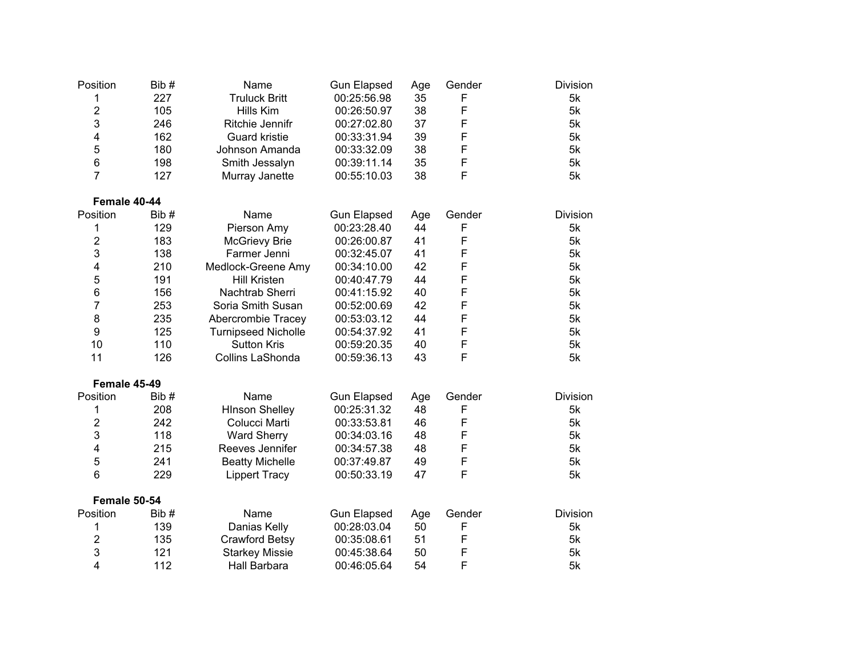| Position                | Bib# | Name                       | <b>Gun Elapsed</b> | Age | Gender | <b>Division</b> |
|-------------------------|------|----------------------------|--------------------|-----|--------|-----------------|
| 1                       | 227  | <b>Truluck Britt</b>       | 00:25:56.98        | 35  | F      | 5k              |
| $\overline{c}$          | 105  | Hills Kim                  | 00:26:50.97        | 38  | F      | 5k              |
| 3                       | 246  | Ritchie Jennifr            | 00:27:02.80        | 37  | F      | 5k              |
| $\overline{\mathbf{4}}$ | 162  | <b>Guard kristie</b>       | 00:33:31.94        | 39  | F      | 5k              |
| 5                       | 180  | Johnson Amanda             | 00:33:32.09        | 38  | F      | 5k              |
| 6                       | 198  | Smith Jessalyn             | 00:39:11.14        | 35  | F      | 5k              |
| $\overline{7}$          | 127  | Murray Janette             | 00:55:10.03        | 38  | F      | 5k              |
| Female 40-44            |      |                            |                    |     |        |                 |
| Position                | Bib# | Name                       | <b>Gun Elapsed</b> | Age | Gender | <b>Division</b> |
| 1                       | 129  | Pierson Amy                | 00:23:28.40        | 44  | F      | 5k              |
| $\overline{c}$          | 183  | <b>McGrievy Brie</b>       | 00:26:00.87        | 41  | F      | 5k              |
| 3                       | 138  | Farmer Jenni               | 00:32:45.07        | 41  | F      | 5k              |
| 4                       | 210  | Medlock-Greene Amy         | 00:34:10.00        | 42  | F      | 5k              |
| 5                       | 191  | <b>Hill Kristen</b>        | 00:40:47.79        | 44  | F      | 5k              |
| 6                       | 156  | Nachtrab Sherri            | 00:41:15.92        | 40  | F      | 5k              |
| 7                       | 253  | Soria Smith Susan          | 00:52:00.69        | 42  | F      | 5k              |
| 8                       | 235  | Abercrombie Tracey         | 00:53:03.12        | 44  | F      | 5k              |
| 9                       | 125  | <b>Turnipseed Nicholle</b> | 00:54:37.92        | 41  | F      | 5k              |
| 10                      | 110  | <b>Sutton Kris</b>         | 00:59:20.35        | 40  | F      | 5k              |
| 11                      | 126  | Collins LaShonda           | 00:59:36.13        | 43  | F      | 5k              |
| Female 45-49            |      |                            |                    |     |        |                 |
| Position                | Bib# | Name                       | <b>Gun Elapsed</b> | Age | Gender | <b>Division</b> |
| 1                       | 208  | <b>HInson Shelley</b>      | 00:25:31.32        | 48  | F      | 5k              |
| 2                       | 242  | Colucci Marti              | 00:33:53.81        | 46  | F      | 5k              |
| 3                       | 118  | <b>Ward Sherry</b>         | 00:34:03.16        | 48  | F      | 5k              |
| $\overline{\mathbf{4}}$ | 215  | Reeves Jennifer            | 00:34:57.38        | 48  | F      | 5k              |
| 5                       | 241  | <b>Beatty Michelle</b>     | 00:37:49.87        | 49  | F      | 5k              |
| 6                       | 229  | <b>Lippert Tracy</b>       | 00:50:33.19        | 47  | F      | 5k              |
| Female 50-54            |      |                            |                    |     |        |                 |
| Position                | Bib# | Name                       | <b>Gun Elapsed</b> | Age | Gender | <b>Division</b> |
| 1                       | 139  | Danias Kelly               | 00:28:03.04        | 50  | F      | 5k              |
| $\overline{2}$          | 135  | Crawford Betsy             | 00:35:08.61        | 51  | F      | 5k              |
| 3                       | 121  | <b>Starkey Missie</b>      | 00:45:38.64        | 50  | F      | 5k              |
| $\overline{4}$          | 112  | Hall Barbara               | 00:46:05.64        | 54  | F      | 5k              |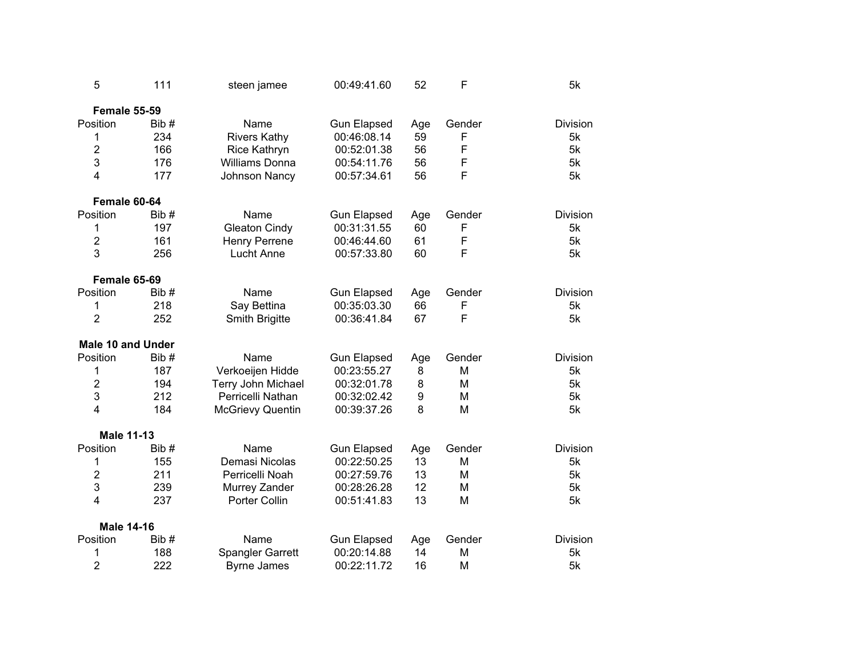| 5                        | 111  | steen jamee             | 00:49:41.60        | 52  | F      | 5k              |
|--------------------------|------|-------------------------|--------------------|-----|--------|-----------------|
| Female 55-59             |      |                         |                    |     |        |                 |
| Position                 | Bib# | Name                    | <b>Gun Elapsed</b> | Age | Gender | <b>Division</b> |
| 1                        | 234  | <b>Rivers Kathy</b>     | 00:46:08.14        | 59  | F      | 5k              |
| $\overline{2}$           | 166  | Rice Kathryn            | 00:52:01.38        | 56  | F      | 5k              |
| 3                        | 176  | Williams Donna          | 00:54:11.76        | 56  | F      | 5k              |
| $\overline{4}$           | 177  | Johnson Nancy           | 00:57:34.61        | 56  | F      | 5k              |
| Female 60-64             |      |                         |                    |     |        |                 |
| Position                 | Bib# | Name                    | <b>Gun Elapsed</b> | Age | Gender | Division        |
| 1                        | 197  | <b>Gleaton Cindy</b>    | 00:31:31.55        | 60  | F      | 5k              |
| $\overline{2}$           | 161  | <b>Henry Perrene</b>    | 00:46:44.60        | 61  | F      | 5k              |
| 3                        | 256  | <b>Lucht Anne</b>       | 00:57:33.80        | 60  | F      | 5k              |
| Female 65-69             |      |                         |                    |     |        |                 |
| Position                 | Bib# | Name                    | <b>Gun Elapsed</b> | Age | Gender | <b>Division</b> |
| 1                        | 218  | Say Bettina             | 00:35:03.30        | 66  | F      | 5k              |
| $\overline{2}$           | 252  | Smith Brigitte          | 00:36:41.84        | 67  | F      | 5k              |
| <b>Male 10 and Under</b> |      |                         |                    |     |        |                 |
| Position                 | Bib# | Name                    | <b>Gun Elapsed</b> | Age | Gender | <b>Division</b> |
| 1                        | 187  | Verkoeijen Hidde        | 00:23:55.27        | 8   | M      | 5k              |
| $\overline{2}$           | 194  | Terry John Michael      | 00:32:01.78        | 8   | M      | 5k              |
| 3                        | 212  | Perricelli Nathan       | 00:32:02.42        | 9   | M      | 5k              |
| $\overline{4}$           | 184  | <b>McGrievy Quentin</b> | 00:39:37.26        | 8   | M      | 5k              |
| <b>Male 11-13</b>        |      |                         |                    |     |        |                 |
| Position                 | Bib# | Name                    | <b>Gun Elapsed</b> | Age | Gender | <b>Division</b> |
| 1                        | 155  | Demasi Nicolas          | 00:22:50.25        | 13  | М      | 5k              |
| $\overline{c}$           | 211  | Perricelli Noah         | 00:27:59.76        | 13  | M      | 5k              |
| 3                        | 239  | Murrey Zander           | 00:28:26.28        | 12  | M      | 5k              |
| 4                        | 237  | Porter Collin           | 00:51:41.83        | 13  | M      | 5k              |
| <b>Male 14-16</b>        |      |                         |                    |     |        |                 |
| Position                 | Bib# | Name                    | <b>Gun Elapsed</b> | Age | Gender | <b>Division</b> |
| 1                        | 188  | <b>Spangler Garrett</b> | 00:20:14.88        | 14  | М      | 5k              |
| $\overline{2}$           | 222  | <b>Byrne James</b>      | 00:22:11.72        | 16  | M      | 5k              |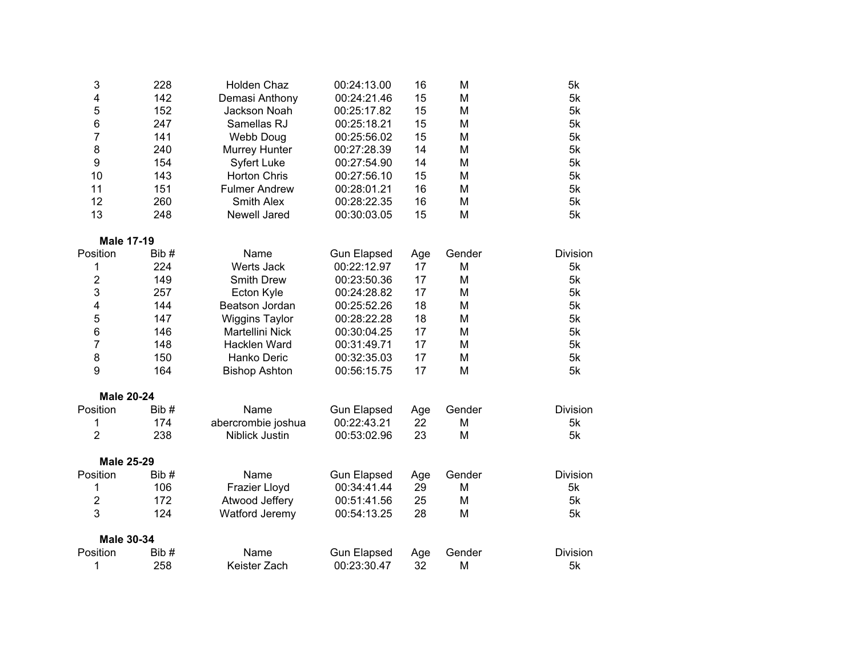| 3                 | 228  | Holden Chaz           | 00:24:13.00        | 16  | M      | 5k              |
|-------------------|------|-----------------------|--------------------|-----|--------|-----------------|
| 4                 | 142  | Demasi Anthony        | 00:24:21.46        | 15  | M      | 5k              |
| 5                 | 152  | Jackson Noah          | 00:25:17.82        | 15  | M      | 5k              |
| 6                 | 247  | Samellas RJ           | 00:25:18.21        | 15  | M      | 5k              |
| $\overline{7}$    | 141  | <b>Webb Doug</b>      | 00:25:56.02        | 15  | M      | 5k              |
| 8                 | 240  | Murrey Hunter         | 00:27:28.39        | 14  | M      | 5k              |
| 9                 | 154  | <b>Syfert Luke</b>    | 00:27:54.90        | 14  | M      | 5k              |
| 10                | 143  | <b>Horton Chris</b>   | 00:27:56.10        | 15  | M      | 5k              |
| 11                | 151  | <b>Fulmer Andrew</b>  | 00:28:01.21        | 16  | M      | 5k              |
| 12                | 260  | Smith Alex            | 00:28:22.35        | 16  | M      | 5k              |
| 13                | 248  | Newell Jared          | 00:30:03.05        | 15  | M      | 5k              |
| <b>Male 17-19</b> |      |                       |                    |     |        |                 |
| Position          | Bib# | Name                  | <b>Gun Elapsed</b> | Age | Gender | <b>Division</b> |
| 1                 | 224  | Werts Jack            | 00:22:12.97        | 17  | M      | 5k              |
| $\overline{c}$    | 149  | <b>Smith Drew</b>     | 00:23:50.36        | 17  | M      | 5k              |
| 3                 | 257  | Ecton Kyle            | 00:24:28.82        | 17  | M      | 5k              |
| 4                 | 144  | Beatson Jordan        | 00:25:52.26        | 18  | M      | 5k              |
| 5                 | 147  | <b>Wiggins Taylor</b> | 00:28:22.28        | 18  | M      | 5k              |
| 6                 | 146  | Martellini Nick       | 00:30:04.25        | 17  | M      | 5k              |
| 7                 | 148  | Hacklen Ward          | 00:31:49.71        | 17  | M      | 5k              |
| 8                 | 150  | Hanko Deric           | 00:32:35.03        | 17  | M      | 5k              |
| 9                 | 164  | <b>Bishop Ashton</b>  | 00:56:15.75        | 17  | M      | 5k              |
| <b>Male 20-24</b> |      |                       |                    |     |        |                 |
| Position          | Bib# | Name                  | <b>Gun Elapsed</b> | Age | Gender | <b>Division</b> |
| 1                 | 174  | abercrombie joshua    | 00:22:43.21        | 22  | M      | 5k              |
| $\overline{2}$    | 238  | Niblick Justin        | 00:53:02.96        | 23  | M      | 5k              |
| <b>Male 25-29</b> |      |                       |                    |     |        |                 |
| Position          | Bib# | Name                  | <b>Gun Elapsed</b> | Age | Gender | Division        |
| 1                 | 106  | Frazier Lloyd         | 00:34:41.44        | 29  | M      | 5k              |
| $\boldsymbol{2}$  | 172  | Atwood Jeffery        | 00:51:41.56        | 25  | M      | 5k              |
| 3                 | 124  | Watford Jeremy        | 00:54:13.25        | 28  | M      | 5k              |
| <b>Male 30-34</b> |      |                       |                    |     |        |                 |
| Position          | Bib# | Name                  | <b>Gun Elapsed</b> | Age | Gender | <b>Division</b> |
| 1                 | 258  | Keister Zach          | 00:23:30.47        | 32  | M      | 5k              |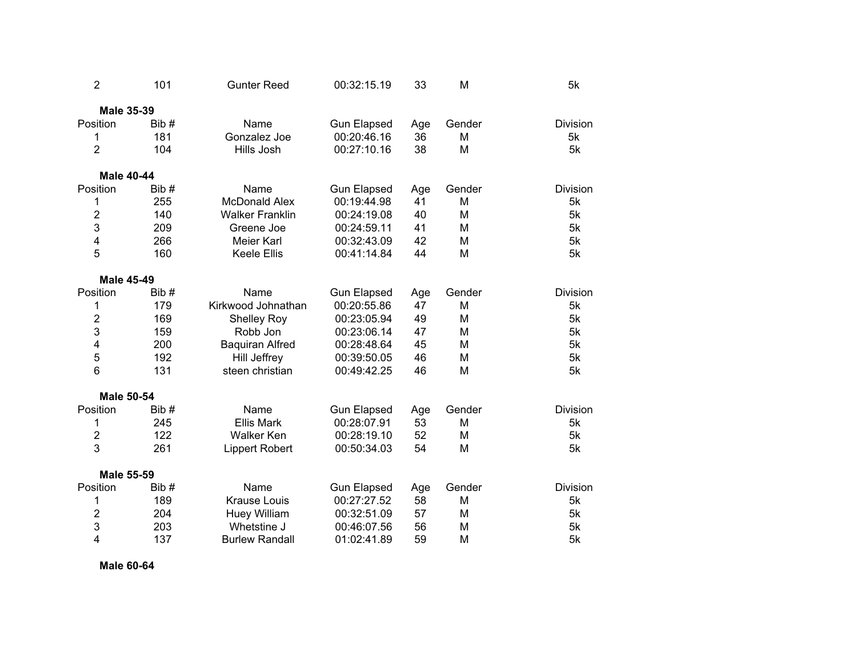| $\overline{2}$    | 101  | <b>Gunter Reed</b>     | 00:32:15.19        | 33  | M      | 5k              |
|-------------------|------|------------------------|--------------------|-----|--------|-----------------|
| <b>Male 35-39</b> |      |                        |                    |     |        |                 |
| Position          | Bib# | Name                   | <b>Gun Elapsed</b> | Age | Gender | <b>Division</b> |
| 1                 | 181  | Gonzalez Joe           | 00:20:46.16        | 36  | M      | 5k              |
| $\overline{2}$    | 104  | Hills Josh             | 00:27:10.16        | 38  | M      | 5k              |
| <b>Male 40-44</b> |      |                        |                    |     |        |                 |
| Position          | Bib# | Name                   | <b>Gun Elapsed</b> | Age | Gender | Division        |
| 1                 | 255  | <b>McDonald Alex</b>   | 00:19:44.98        | 41  | M      | 5k              |
| $\overline{2}$    | 140  | <b>Walker Franklin</b> | 00:24:19.08        | 40  | M      | 5k              |
| 3                 | 209  | Greene Joe             | 00:24:59.11        | 41  | M      | 5k              |
| 4                 | 266  | Meier Karl             | 00:32:43.09        | 42  | M      | 5k              |
| 5                 | 160  | <b>Keele Ellis</b>     | 00:41:14.84        | 44  | M      | 5k              |
| <b>Male 45-49</b> |      |                        |                    |     |        |                 |
| Position          | Bib# | Name                   | <b>Gun Elapsed</b> | Age | Gender | Division        |
| 1                 | 179  | Kirkwood Johnathan     | 00:20:55.86        | 47  | M      | 5k              |
| 2                 | 169  | <b>Shelley Roy</b>     | 00:23:05.94        | 49  | M      | 5k              |
| 3                 | 159  | Robb Jon               | 00:23:06.14        | 47  | M      | 5k              |
| 4                 | 200  | <b>Baquiran Alfred</b> | 00:28:48.64        | 45  | M      | 5k              |
| 5                 | 192  | Hill Jeffrey           | 00:39:50.05        | 46  | M      | 5k              |
| 6                 | 131  | steen christian        | 00:49:42.25        | 46  | M      | 5k              |
| <b>Male 50-54</b> |      |                        |                    |     |        |                 |
| Position          | Bib# | Name                   | <b>Gun Elapsed</b> | Age | Gender | <b>Division</b> |
| 1                 | 245  | <b>Ellis Mark</b>      | 00:28:07.91        | 53  | M      | 5k              |
| $\overline{2}$    | 122  | <b>Walker Ken</b>      | 00:28:19.10        | 52  | M      | 5k              |
| 3                 | 261  | <b>Lippert Robert</b>  | 00:50:34.03        | 54  | M      | 5k              |
| <b>Male 55-59</b> |      |                        |                    |     |        |                 |
| Position          | Bib# | Name                   | <b>Gun Elapsed</b> | Age | Gender | <b>Division</b> |
| 1                 | 189  | <b>Krause Louis</b>    | 00:27:27.52        | 58  | M      | 5k              |
| 2                 | 204  | Huey William           | 00:32:51.09        | 57  | M      | 5k              |
| 3                 | 203  | Whetstine J            | 00:46:07.56        | 56  | M      | 5k              |
| 4                 | 137  | <b>Burlew Randall</b>  | 01:02:41.89        | 59  | M      | 5k              |

**Male 60-64**